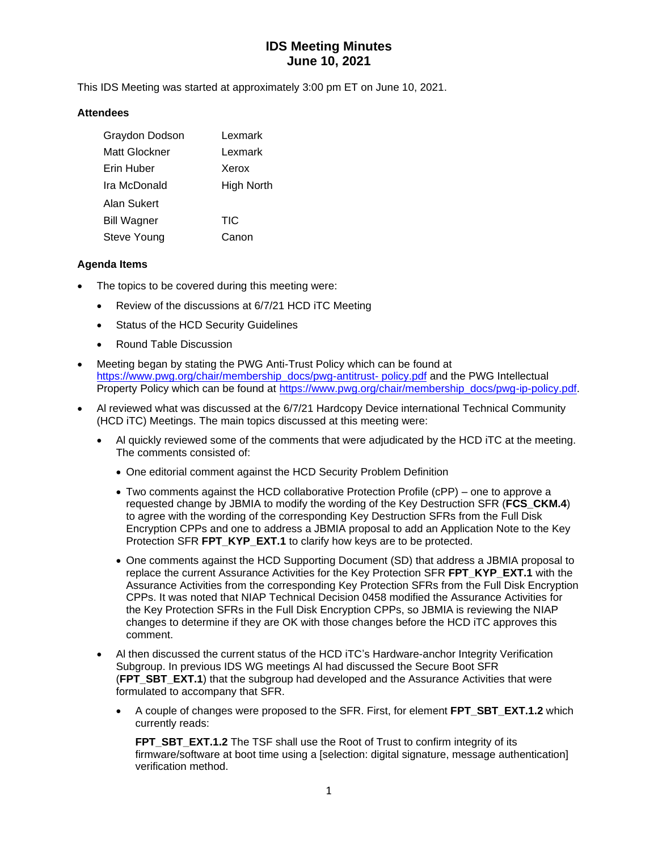# **IDS Meeting Minutes June 10, 2021**

This IDS Meeting was started at approximately 3:00 pm ET on June 10, 2021.

### **Attendees**

| Graydon Dodson     | Lexmark    |
|--------------------|------------|
| Matt Glockner      | Lexmark    |
| Erin Huber         | Xerox      |
| Ira McDonald       | High North |
| Alan Sukert        |            |
| <b>Bill Wagner</b> | <b>TIC</b> |
| Steve Young        | Canon      |

### **Agenda Items**

- The topics to be covered during this meeting were:
	- Review of the discussions at 6/7/21 HCD iTC Meeting
	- Status of the HCD Security Guidelines
	- Round Table Discussion
- Meeting began by stating the PWG Anti-Trust Policy which can be found at [https://www.pwg.org/chair/membership\\_docs/pwg-antitrust-](https://www.pwg.org/chair/membership_docs/pwg-antitrust-%20policy.pdf) policy.pdf and the PWG Intellectual Property Policy which can be found at [https://www.pwg.org/chair/membership\\_docs/pwg-ip-policy.pdf.](https://www.pwg.org/chair/membership_docs/pwg-ip-policy.pdf)
- Al reviewed what was discussed at the 6/7/21 Hardcopy Device international Technical Community (HCD iTC) Meetings. The main topics discussed at this meeting were:
	- Al quickly reviewed some of the comments that were adjudicated by the HCD iTC at the meeting. The comments consisted of:
		- One editorial comment against the HCD Security Problem Definition
		- Two comments against the HCD collaborative Protection Profile (cPP) one to approve a requested change by JBMIA to modify the wording of the Key Destruction SFR (**FCS\_CKM.4**) to agree with the wording of the corresponding Key Destruction SFRs from the Full Disk Encryption CPPs and one to address a JBMIA proposal to add an Application Note to the Key Protection SFR FPT KYP EXT.1 to clarify how keys are to be protected.
		- One comments against the HCD Supporting Document (SD) that address a JBMIA proposal to replace the current Assurance Activities for the Key Protection SFR **FPT\_KYP\_EXT.1** with the Assurance Activities from the corresponding Key Protection SFRs from the Full Disk Encryption CPPs. It was noted that NIAP Technical Decision 0458 modified the Assurance Activities for the Key Protection SFRs in the Full Disk Encryption CPPs, so JBMIA is reviewing the NIAP changes to determine if they are OK with those changes before the HCD iTC approves this comment.
	- Al then discussed the current status of the HCD iTC's Hardware-anchor Integrity Verification Subgroup. In previous IDS WG meetings Al had discussed the Secure Boot SFR (**FPT\_SBT\_EXT.1**) that the subgroup had developed and the Assurance Activities that were formulated to accompany that SFR.
		- A couple of changes were proposed to the SFR. First, for element **FPT\_SBT\_EXT.1.2** which currently reads:

**FPT\_SBT\_EXT.1.2** The TSF shall use the Root of Trust to confirm integrity of its firmware/software at boot time using a [selection: digital signature, message authentication] verification method.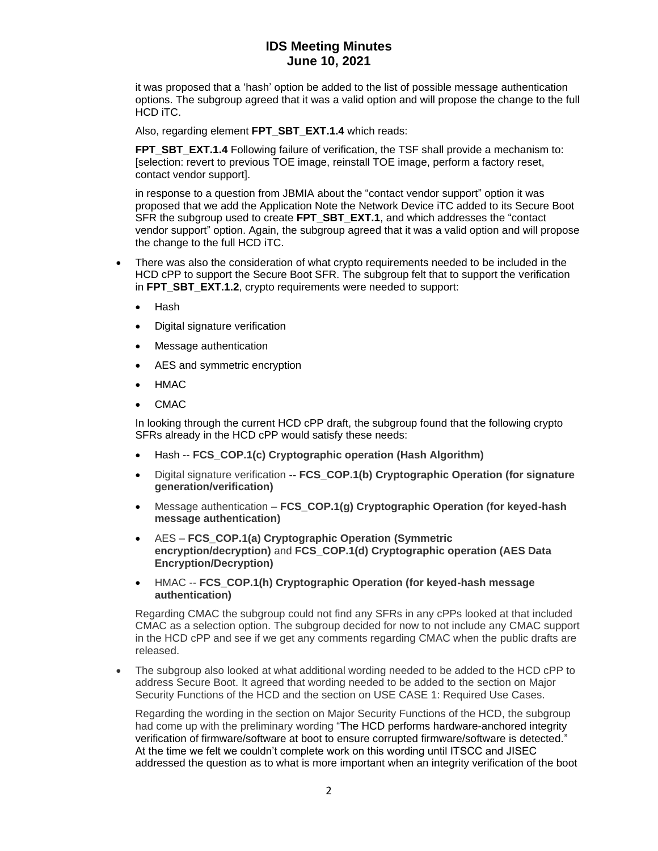## **IDS Meeting Minutes June 10, 2021**

it was proposed that a 'hash' option be added to the list of possible message authentication options. The subgroup agreed that it was a valid option and will propose the change to the full HCD iTC.

Also, regarding element **FPT\_SBT\_EXT.1.4** which reads:

**FPT\_SBT\_EXT.1.4** Following failure of verification, the TSF shall provide a mechanism to: [selection: revert to previous TOE image, reinstall TOE image, perform a factory reset, contact vendor support].

in response to a question from JBMIA about the "contact vendor support" option it was proposed that we add the Application Note the Network Device iTC added to its Secure Boot SFR the subgroup used to create **FPT SBT EXT.1**, and which addresses the "contact vendor support" option. Again, the subgroup agreed that it was a valid option and will propose the change to the full HCD iTC.

- There was also the consideration of what crypto requirements needed to be included in the HCD cPP to support the Secure Boot SFR. The subgroup felt that to support the verification in **FPT** SBT EXT.1.2, crypto requirements were needed to support:
	- Hash
	- Digital signature verification
	- Message authentication
	- AES and symmetric encryption
	- HMAC
	- CMAC

In looking through the current HCD cPP draft, the subgroup found that the following crypto SFRs already in the HCD cPP would satisfy these needs:

- Hash -- **FCS\_COP.1(c) Cryptographic operation (Hash Algorithm)**
- Digital signature verification **-- FCS\_COP.1(b) Cryptographic Operation (for signature generation/verification)**
- Message authentication **FCS\_COP.1(g) Cryptographic Operation (for keyed-hash message authentication)**
- AES **FCS\_COP.1(a) Cryptographic Operation (Symmetric encryption/decryption)** and **FCS\_COP.1(d) Cryptographic operation (AES Data Encryption/Decryption)**
- HMAC -- **FCS\_COP.1(h) Cryptographic Operation (for keyed-hash message authentication)**

Regarding CMAC the subgroup could not find any SFRs in any cPPs looked at that included CMAC as a selection option. The subgroup decided for now to not include any CMAC support in the HCD cPP and see if we get any comments regarding CMAC when the public drafts are released.

• The subgroup also looked at what additional wording needed to be added to the HCD cPP to address Secure Boot. It agreed that wording needed to be added to the section on Major Security Functions of the HCD and the section on USE CASE 1: Required Use Cases.

Regarding the wording in the section on Major Security Functions of the HCD, the subgroup had come up with the preliminary wording "The HCD performs hardware-anchored integrity verification of firmware/software at boot to ensure corrupted firmware/software is detected." At the time we felt we couldn't complete work on this wording until ITSCC and JISEC addressed the question as to what is more important when an integrity verification of the boot